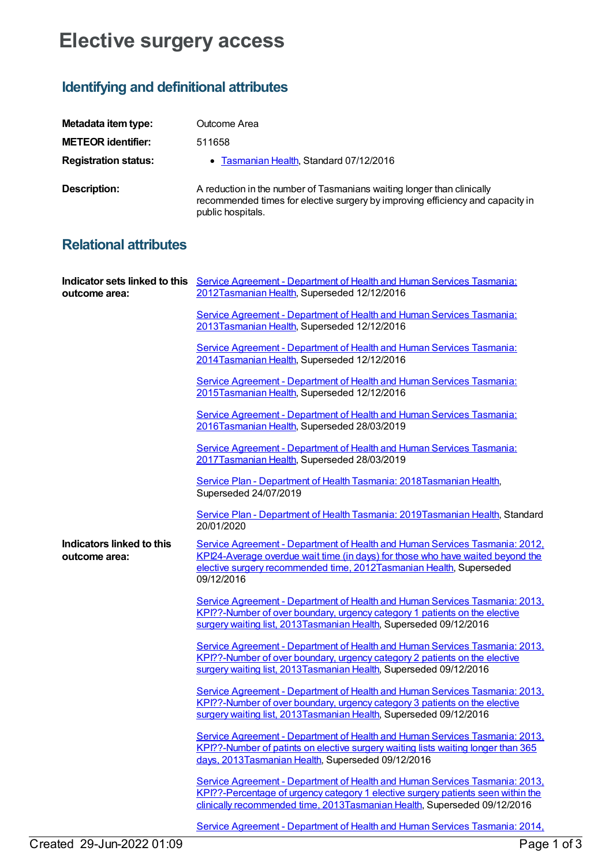## **Elective surgery access**

## **Identifying and definitional attributes**

| Metadata item type:         | Outcome Area                                                                                                                                                                  |
|-----------------------------|-------------------------------------------------------------------------------------------------------------------------------------------------------------------------------|
| <b>METEOR identifier:</b>   | 511658                                                                                                                                                                        |
| <b>Registration status:</b> | • Tasmanian Health, Standard 07/12/2016                                                                                                                                       |
| Description:                | A reduction in the number of Tasmanians waiting longer than clinically<br>recommended times for elective surgery by improving efficiency and capacity in<br>public hospitals. |

## **Relational attributes**

| outcome area:                              | Indicator sets linked to this Service Agreement - Department of Health and Human Services Tasmania:<br>2012Tasmanian Health, Superseded 12/12/2016                                                                                                 |
|--------------------------------------------|----------------------------------------------------------------------------------------------------------------------------------------------------------------------------------------------------------------------------------------------------|
|                                            | Service Agreement - Department of Health and Human Services Tasmania:<br>2013Tasmanian Health, Superseded 12/12/2016                                                                                                                               |
|                                            | Service Agreement - Department of Health and Human Services Tasmania:<br>2014Tasmanian Health, Superseded 12/12/2016                                                                                                                               |
|                                            | Service Agreement - Department of Health and Human Services Tasmania:<br>2015Tasmanian Health, Superseded 12/12/2016                                                                                                                               |
|                                            | Service Agreement - Department of Health and Human Services Tasmania:<br>2016Tasmanian Health, Superseded 28/03/2019                                                                                                                               |
|                                            | Service Agreement - Department of Health and Human Services Tasmania:<br>2017Tasmanian Health, Superseded 28/03/2019                                                                                                                               |
|                                            | Service Plan - Department of Health Tasmania: 2018 Tasmanian Health,<br>Superseded 24/07/2019                                                                                                                                                      |
|                                            | Service Plan - Department of Health Tasmania: 2019Tasmanian Health, Standard<br>20/01/2020                                                                                                                                                         |
| Indicators linked to this<br>outcome area: | Service Agreement - Department of Health and Human Services Tasmania: 2012,<br>KPI24-Average overdue wait time (in days) for those who have waited beyond the<br>elective surgery recommended time, 2012Tasmanian Health, Superseded<br>09/12/2016 |
|                                            | Service Agreement - Department of Health and Human Services Tasmania: 2013,<br>KPI??-Number of over boundary, urgency category 1 patients on the elective<br>surgery waiting list, 2013 Tasmanian Health, Superseded 09/12/2016                    |
|                                            | Service Agreement - Department of Health and Human Services Tasmania: 2013.<br>KPI??-Number of over boundary, urgency category 2 patients on the elective<br>surgery waiting list, 2013 Tasmanian Health, Superseded 09/12/2016                    |
|                                            | Service Agreement - Department of Health and Human Services Tasmania: 2013.<br>KPI??-Number of over boundary, urgency category 3 patients on the elective<br>surgery waiting list, 2013 Tasmanian Health, Superseded 09/12/2016                    |
|                                            | Service Agreement - Department of Health and Human Services Tasmania: 2013,<br>KPI??-Number of patints on elective surgery waiting lists waiting longer than 365<br>days, 2013Tasmanian Health, Superseded 09/12/2016                              |
|                                            | Service Agreement - Department of Health and Human Services Tasmania: 2013.<br>KPI??-Percentage of urgency category 1 elective surgery patients seen within the<br>clinically recommended time, 2013Tasmanian Health, Superseded 09/12/2016        |
|                                            | Service Agreement - Department of Health and Human Services Tasmania: 2014,                                                                                                                                                                        |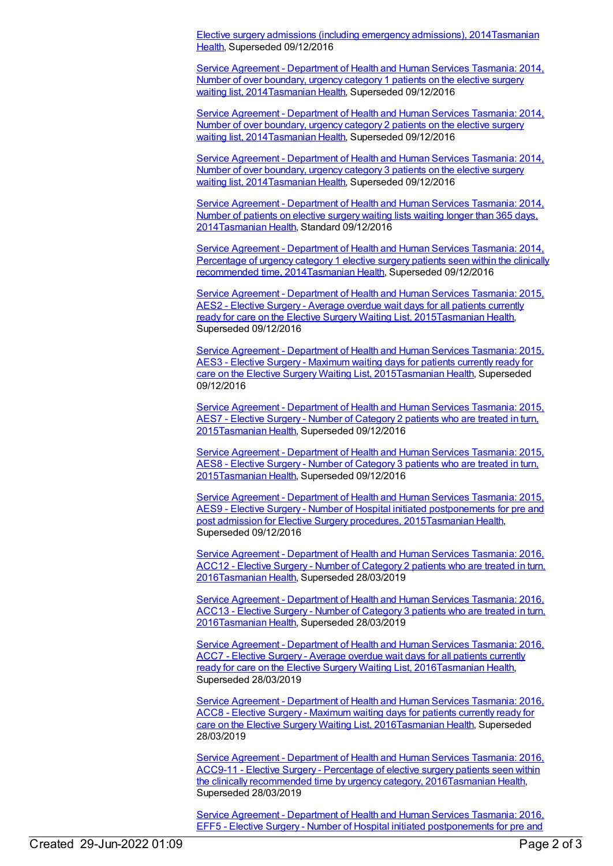Elective surgery admissions (including emergency admissions), [2014Tasmanian](https://meteor.aihw.gov.au/RegistrationAuthority/15) Health, Superseded 09/12/2016

Service Agreement - Department of Health and Human Services Tasmania: 2014, Number of over boundary, urgency category 1 patients on the elective surgery waiting list, [2014Tasmanian](https://meteor.aihw.gov.au/content/581538) Health, Superseded 09/12/2016

Service Agreement - Department of Health and Human Services Tasmania: 2014, Number of over boundary, urgency category 2 patients on the elective surgery waiting list, [2014](https://meteor.aihw.gov.au/content/581541)[Tasmanian](https://meteor.aihw.gov.au/RegistrationAuthority/15) Health, Superseded 09/12/2016

Service Agreement - Department of Health and Human Services Tasmania: 2014, Number of over boundary, urgency category 3 patients on the elective surgery waiting list, [2014Tasmanian](https://meteor.aihw.gov.au/content/581544) Health, Superseded 09/12/2016

Service Agreement - Department of Health and Human Services Tasmania: 2014, Number of patients on elective surgery waiting lists waiting longer than 365 days, [2014Tasmanian](https://meteor.aihw.gov.au/content/581547) Health, Standard 09/12/2016

Service Agreement - Department of Health and Human Services Tasmania: 2014, Percentage of urgency category 1 elective surgery patients seen within the clinically recommended time, [2014](https://meteor.aihw.gov.au/content/581535)[Tasmanian](https://meteor.aihw.gov.au/RegistrationAuthority/15) Health, Superseded 09/12/2016

Service Agreement - Department of Health and Human Services Tasmania: 2015, AES2 - Elective Surgery - Average overdue wait days for all patients currently ready for care on the Elective Surgery Waiting List, [2015Tasmanian](https://meteor.aihw.gov.au/content/615442) Health, Superseded 09/12/2016

Service Agreement - Department of Health and Human Services Tasmania: 2015, AES3 - Elective Surgery - Maximum waiting days for patients currently ready for care on the Elective Surgery Waiting List, [2015Tasmanian](https://meteor.aihw.gov.au/content/615446) Health, Superseded 09/12/2016

Service Agreement - Department of Health and Human Services Tasmania: 2015, AES7 - Elective Surgery - Number of Category 2 patients who are treated in turn, [2015Tasmanian](https://meteor.aihw.gov.au/content/615449) Health, Superseded 09/12/2016

Service Agreement - Department of Health and Human Services Tasmania: 2015, AES8 - Elective Surgery - Number of Category 3 patients who are treated in turn, [2015](https://meteor.aihw.gov.au/content/615494)[Tasmanian](https://meteor.aihw.gov.au/RegistrationAuthority/15) Health, Superseded 09/12/2016

Service Agreement - Department of Health and Human Services Tasmania: 2015, AES9 - Elective Surgery - Number of Hospital initiated [postponements](https://meteor.aihw.gov.au/content/615451) for pre and post admission for Elective Surgery procedures, 201[5Tasmanian](https://meteor.aihw.gov.au/RegistrationAuthority/15) Health, Superseded 09/12/2016

Service Agreement - Department of Health and Human Services Tasmania: 2016, ACC12 - Elective Surgery - Number of Category 2 patients who are treated in turn, [2016Tasmanian](https://meteor.aihw.gov.au/content/645290) Health, Superseded 28/03/2019

Service Agreement - Department of Health and Human Services Tasmania: 2016, ACC13 - Elective Surgery - Number of Category 3 patients who are treated in turn, [2016Tasmanian](https://meteor.aihw.gov.au/content/645286) Health, Superseded 28/03/2019

Service Agreement - Department of Health and Human Services Tasmania: 2016, ACC7 - Elective Surgery - Average overdue wait days for all patients currently ready for care on the Elective Surgery Waiting List, [2016](https://meteor.aihw.gov.au/content/645330)[Tasmanian](https://meteor.aihw.gov.au/RegistrationAuthority/15) Health, Superseded 28/03/2019

Service Agreement - Department of Health and Human Services Tasmania: 2016, ACC8 - Elective Surgery - Maximum waiting days for patients currently ready for care on the Elective Surgery Waiting List, [2016Tasmanian](https://meteor.aihw.gov.au/content/645326) Health, Superseded 28/03/2019

Service Agreement - Department of Health and Human Services Tasmania: 2016, ACC9-11 - Elective Surgery - Percentage of elective surgery patients seen within the clinically recommended time by urgency category, [2016Tasmanian](https://meteor.aihw.gov.au/content/645320) Health, Superseded 28/03/2019

Service Agreement - Department of Health and Human Services Tasmania: 2016, EFF5 - Elective Surgery - Number of Hospital initiated [postponements](https://meteor.aihw.gov.au/content/645606) for pre and